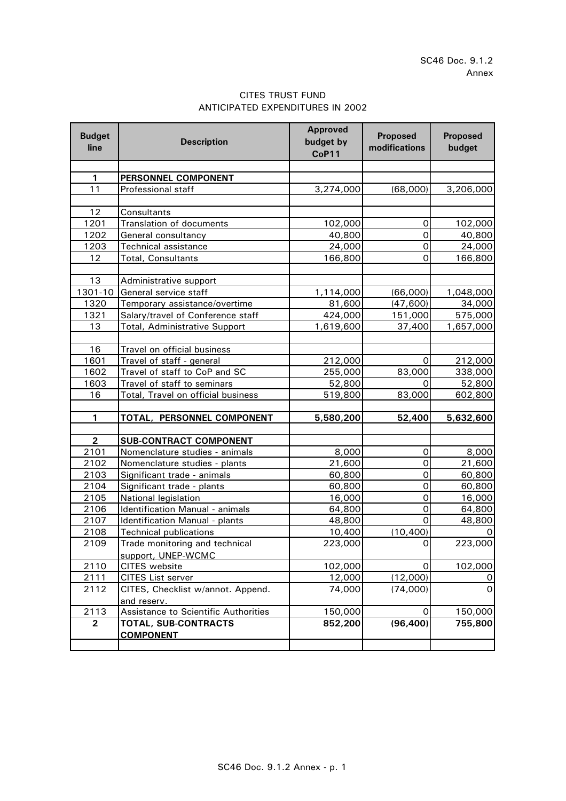## CITES TRUST FUND ANTICIPATED EXPENDITURES IN 2002

| <b>Budget</b><br>line   | <b>Description</b>                          | <b>Approved</b><br>budget by<br>CoP11 | <b>Proposed</b><br>modifications | <b>Proposed</b><br>budget |
|-------------------------|---------------------------------------------|---------------------------------------|----------------------------------|---------------------------|
|                         |                                             |                                       |                                  |                           |
| 1                       | PERSONNEL COMPONENT                         |                                       |                                  |                           |
| 11                      | Professional staff                          | 3,274,000                             | (68,000)                         | 3,206,000                 |
|                         |                                             |                                       |                                  |                           |
| 12                      | Consultants                                 |                                       |                                  |                           |
| 1201                    | <b>Translation of documents</b>             | 102,000                               | $\mathsf{O}\xspace$              | 102,000                   |
| 1202                    | General consultancy                         | 40,800                                | 0                                | 40,800                    |
| 1203                    | <b>Technical assistance</b>                 | 24,000                                | 0                                | 24,000                    |
| 12                      | Total, Consultants                          | 166,800                               | 0                                | 166,800                   |
|                         |                                             |                                       |                                  |                           |
| 13                      | Administrative support                      |                                       |                                  |                           |
| 1301-10                 | General service staff                       | 1,114,000                             | (66,000)                         | 1,048,000                 |
| 1320                    | Temporary assistance/overtime               | 81,600                                | (47, 600)                        | 34,000                    |
| 1321                    | Salary/travel of Conference staff           | 424,000                               | 151,000                          | 575,000                   |
| 13                      | <b>Total, Administrative Support</b>        | 1,619,600                             | 37,400                           | 1,657,000                 |
|                         |                                             |                                       |                                  |                           |
| 16                      | Travel on official business                 |                                       |                                  |                           |
| 1601                    | Travel of staff - general                   | 212,000                               | $\mathbf 0$                      | 212,000                   |
| 1602                    | Travel of staff to CoP and SC               | 255,000                               | 83,000                           | 338,000                   |
| 1603                    | Travel of staff to seminars                 | 52,800                                | 0                                | 52,800                    |
| 16                      | Total, Travel on official business          | 519,800                               | 83,000                           | 602,800                   |
| 1                       | TOTAL, PERSONNEL COMPONENT                  | 5,580,200                             | 52,400                           | 5,632,600                 |
| $\overline{\mathbf{2}}$ | <b>SUB-CONTRACT COMPONENT</b>               |                                       |                                  |                           |
| 2101                    | Nomenclature studies - animals              | 8,000                                 | 0                                | 8,000                     |
| 2102                    | Nomenclature studies - plants               | 21,600                                | $\mathsf{O}$                     | 21,600                    |
| 2103                    | Significant trade - animals                 | 60,800                                | $\mathsf{O}\xspace$              | 60,800                    |
| 2104                    | Significant trade - plants                  | 60,800                                | $\mathsf{O}\xspace$              | 60,800                    |
| 2105                    | National legislation                        | 16,000                                | $\mathbf 0$                      | 16,000                    |
| 2106                    | Identification Manual - animals             | 64,800                                | $\mathsf O$                      | 64,800                    |
| 2107                    | Identification Manual - plants              | 48,800                                | $\mathbf 0$                      | 48,800                    |
| 2108                    | <b>Technical publications</b>               | 10,400                                | (10, 400)                        |                           |
| 2109                    | Trade monitoring and technical              | 223,000                               | $\mathbf 0$                      | 223,000                   |
|                         | support, UNEP-WCMC                          |                                       |                                  |                           |
| 2110                    | CITES website                               | 102,000                               | 0                                | 102,000                   |
| 2111                    | <b>CITES List server</b>                    | 12,000                                | (12,000)                         | 0                         |
| 2112                    | CITES, Checklist w/annot. Append.           | 74,000                                | (74,000)                         | $\mathsf{O}$              |
|                         | and reserv.                                 |                                       |                                  |                           |
| 2113                    | <b>Assistance to Scientific Authorities</b> | 150,000                               | 0                                | 150,000                   |
| $\overline{2}$          | TOTAL, SUB-CONTRACTS                        | 852,200                               | (96, 400)                        | 755,800                   |
|                         | <b>COMPONENT</b>                            |                                       |                                  |                           |
|                         |                                             |                                       |                                  |                           |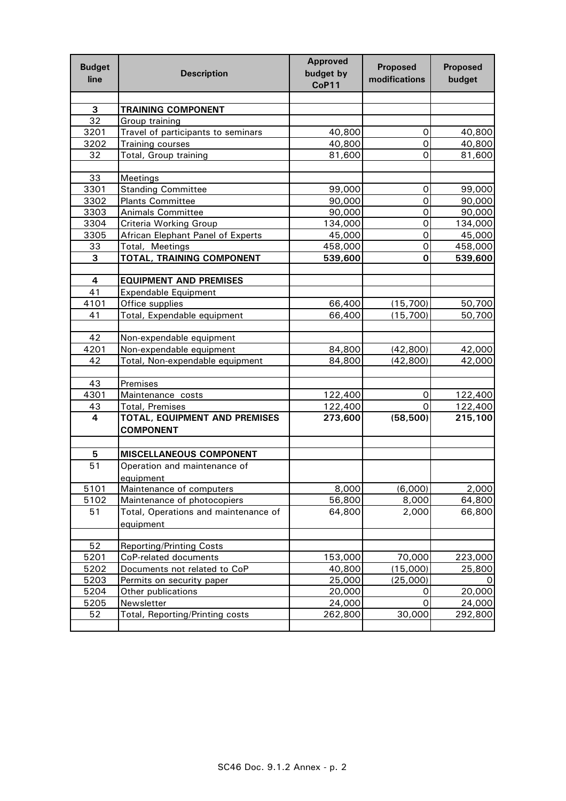| <b>Budget</b><br>line | <b>Description</b>                   | <b>Approved</b><br>budget by<br>CoP11 | <b>Proposed</b><br>modifications | <b>Proposed</b><br>budget |
|-----------------------|--------------------------------------|---------------------------------------|----------------------------------|---------------------------|
|                       |                                      |                                       |                                  |                           |
| 3                     | <b>TRAINING COMPONENT</b>            |                                       |                                  |                           |
| 32                    | Group training                       |                                       |                                  |                           |
| 3201                  | Travel of participants to seminars   | 40,800                                | 0                                | 40,800                    |
| 3202                  | Training courses                     | 40,800                                | 0                                | 40,800                    |
| 32                    | Total, Group training                | 81,600                                | $\Omega$                         | 81,600                    |
|                       |                                      |                                       |                                  |                           |
| 33                    | Meetings                             |                                       |                                  |                           |
| 3301                  | <b>Standing Committee</b>            | 99,000                                | 0                                | 99,000                    |
| 3302                  | <b>Plants Committee</b>              | 90,000                                | $\mathsf{O}\xspace$              | 90,000                    |
| 3303                  | <b>Animals Committee</b>             | 90,000                                | 0                                | 90,000                    |
| 3304                  | Criteria Working Group               | 134,000                               | 0                                | 134,000                   |
| 3305                  | African Elephant Panel of Experts    | 45,000                                | 0                                | 45,000                    |
| 33                    | Total, Meetings                      | 458,000                               | 0                                | 458,000                   |
| 3                     | TOTAL, TRAINING COMPONENT            | 539,600                               | 0                                | 539,600                   |
|                       |                                      |                                       |                                  |                           |
| 4                     | <b>EQUIPMENT AND PREMISES</b>        |                                       |                                  |                           |
| 41                    | <b>Expendable Equipment</b>          |                                       |                                  |                           |
| 4101                  | Office supplies                      | 66,400<br>66,400                      | (15, 700)                        | 50,700                    |
| 41                    | Total, Expendable equipment          |                                       | (15,700)                         | 50,700                    |
| 42                    | Non-expendable equipment             |                                       |                                  |                           |
| 4201                  | Non-expendable equipment             | 84,800                                | (42, 800)                        | 42,000                    |
| 42                    | Total, Non-expendable equipment      | 84,800                                | (42, 800)                        | 42,000                    |
|                       |                                      |                                       |                                  |                           |
| 43                    | Premises                             |                                       |                                  |                           |
| 4301                  | Maintenance costs                    | 122,400                               | 0                                | 122,400                   |
| 43                    | <b>Total, Premises</b>               | 122,400                               | $\Omega$                         | 122,400                   |
| 4                     | TOTAL, EQUIPMENT AND PREMISES        | 273,600                               | (58, 500)                        | 215,100                   |
|                       | <b>COMPONENT</b>                     |                                       |                                  |                           |
|                       |                                      |                                       |                                  |                           |
| 5                     | <b>MISCELLANEOUS COMPONENT</b>       |                                       |                                  |                           |
| 51                    | Operation and maintenance of         |                                       |                                  |                           |
|                       | equipment                            |                                       |                                  |                           |
| 5101                  | Maintenance of computers             | 8,000                                 | (6,000)                          | 2,000                     |
| 5102                  | Maintenance of photocopiers          | 56,800                                | 8,000                            | 64,800                    |
| 51                    | Total, Operations and maintenance of | 64,800                                | 2,000                            | 66,800                    |
|                       | equipment                            |                                       |                                  |                           |
| 52                    | <b>Reporting/Printing Costs</b>      |                                       |                                  |                           |
| 5201                  | CoP-related documents                | 153,000                               | 70,000                           | 223,000                   |
| 5202                  | Documents not related to CoP         | 40,800                                | (15,000)                         | 25,800                    |
| 5203                  | Permits on security paper            | 25,000                                | (25,000)                         |                           |
| 5204                  | Other publications                   | 20,000                                | 0                                | 20,000                    |
| 5205                  | Newsletter                           | 24,000                                | 0                                | 24,000                    |
| 52                    | Total, Reporting/Printing costs      | 262,800                               | 30,000                           | 292,800                   |
|                       |                                      |                                       |                                  |                           |